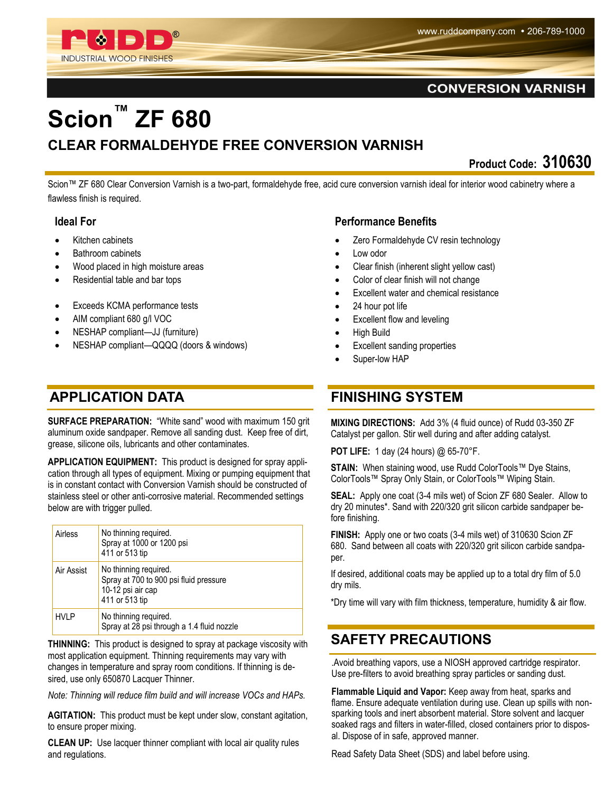

#### **CONVERSION VARNISH**

# **Scion™ ZF 680 CLEAR FORMALDEHYDE FREE CONVERSION VARNISH**

**Product Code: 310630** 

Scion™ ZF 680 Clear Conversion Varnish is a two-part, formaldehyde free, acid cure conversion varnish ideal for interior wood cabinetry where a flawless finish is required.

#### **Ideal For**

- Kitchen cabinets
- Bathroom cabinets
- Wood placed in high moisture areas
- Residential table and bar tops
- Exceeds KCMA performance tests
- AIM compliant 680 g/l VOC
- NESHAP compliant—JJ (furniture)
- NESHAP compliant—QQQQ (doors & windows)

# **APPLICATION DATA**

**SURFACE PREPARATION:** "White sand" wood with maximum 150 grit aluminum oxide sandpaper. Remove all sanding dust. Keep free of dirt, grease, silicone oils, lubricants and other contaminates.

**APPLICATION EQUIPMENT:** This product is designed for spray application through all types of equipment. Mixing or pumping equipment that is in constant contact with Conversion Varnish should be constructed of stainless steel or other anti-corrosive material. Recommended settings below are with trigger pulled.

| Airless     | No thinning required.<br>Spray at 1000 or 1200 psi<br>411 or 513 tip                                   |
|-------------|--------------------------------------------------------------------------------------------------------|
| Air Assist  | No thinning required.<br>Spray at 700 to 900 psi fluid pressure<br>10-12 psi air cap<br>411 or 513 tip |
| <b>HVLP</b> | No thinning required.<br>Spray at 28 psi through a 1.4 fluid nozzle                                    |

**THINNING:** This product is designed to spray at package viscosity with most application equipment. Thinning requirements may vary with changes in temperature and spray room conditions. If thinning is desired, use only 650870 Lacquer Thinner.

*Note: Thinning will reduce film build and will increase VOCs and HAPs.*

**AGITATION:** This product must be kept under slow, constant agitation, to ensure proper mixing.

**CLEAN UP:** Use lacquer thinner compliant with local air quality rules and regulations.

#### **Performance Benefits**

- Zero Formaldehyde CV resin technology
- Low odor
- Clear finish (inherent slight yellow cast)
- Color of clear finish will not change
- Excellent water and chemical resistance
- 24 hour pot life
- Excellent flow and leveling
- High Build
- Excellent sanding properties
- Super-low HAP

### **FINISHING SYSTEM**

**MIXING DIRECTIONS:** Add 3% (4 fluid ounce) of Rudd 03-350 ZF Catalyst per gallon. Stir well during and after adding catalyst.

**POT LIFE:** 1 day (24 hours) @ 65-70°F.

**STAIN:** When staining wood, use Rudd ColorTools™ Dye Stains, ColorTools™ Spray Only Stain, or ColorTools™ Wiping Stain.

**SEAL:** Apply one coat (3-4 mils wet) of Scion ZF 680 Sealer. Allow to dry 20 minutes\*. Sand with 220/320 grit silicon carbide sandpaper before finishing.

**FINISH:** Apply one or two coats (3-4 mils wet) of 310630 Scion ZF 680. Sand between all coats with 220/320 grit silicon carbide sandpaper.

If desired, additional coats may be applied up to a total dry film of 5.0 dry mils.

\*Dry time will vary with film thickness, temperature, humidity & air flow.

# **SAFETY PRECAUTIONS**

.Avoid breathing vapors, use a NIOSH approved cartridge respirator. Use pre-filters to avoid breathing spray particles or sanding dust.

**Flammable Liquid and Vapor:** Keep away from heat, sparks and flame. Ensure adequate ventilation during use. Clean up spills with nonsparking tools and inert absorbent material. Store solvent and lacquer soaked rags and filters in water-filled, closed containers prior to disposal. Dispose of in safe, approved manner.

Read Safety Data Sheet (SDS) and label before using.